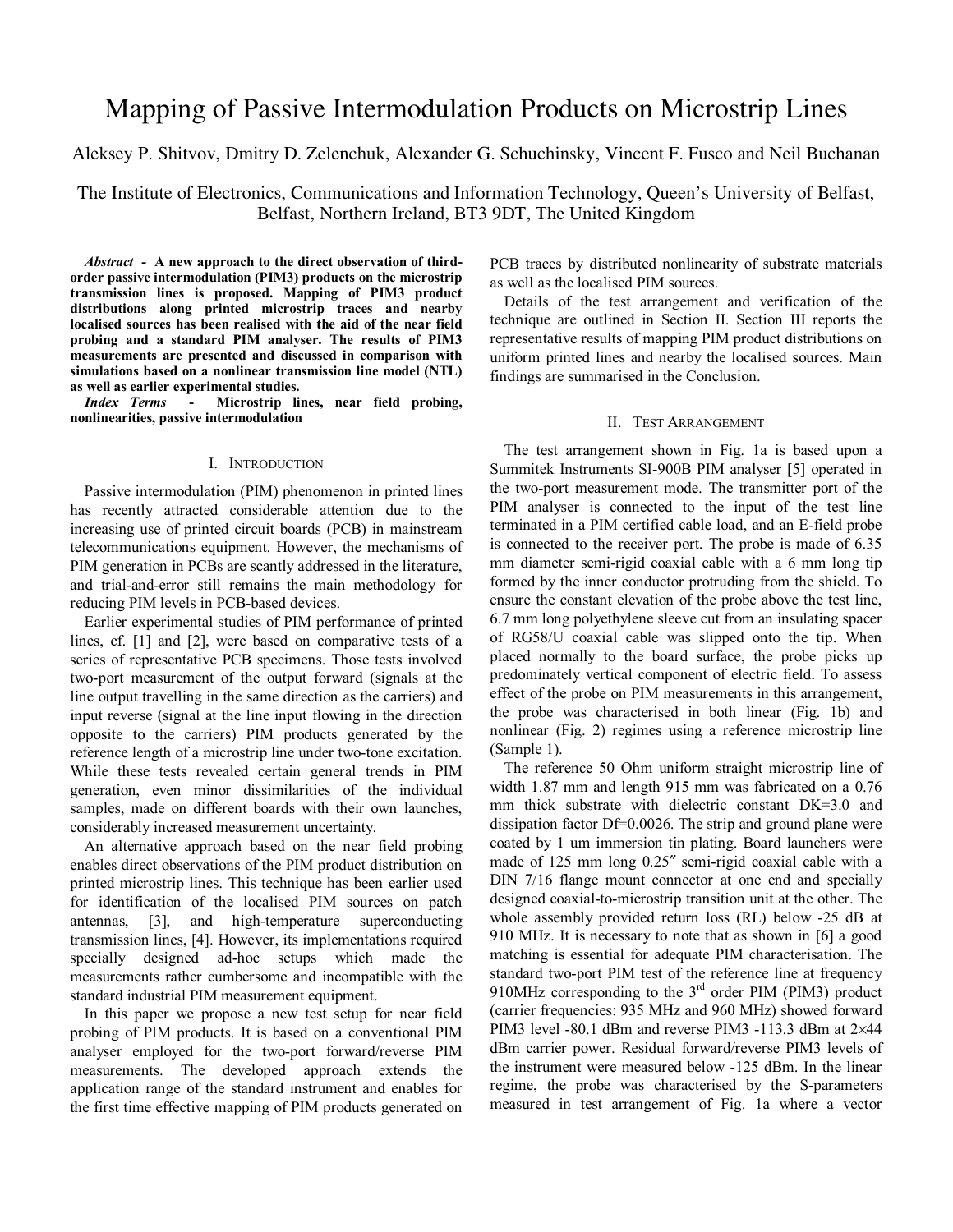# Mapping of Passive Intermodulation Products on Microstrip Lines

Aleksey P. Shitvov, Dmitry D. Zelenchuk, Alexander G. Schuchinsky, Vincent F. Fusco and Neil Buchanan

The Institute of Electronics, Communications and Information Technology, Queen's University of Belfast, Belfast, Northern Ireland, BT3 9DT, The United Kingdom

*Abstract -* **A new approach to the direct observation of thirdorder passive intermodulation (PIM3) products on the microstrip transmission lines is proposed. Mapping of PIM3 product distributions along printed microstrip traces and nearby localised sources has been realised with the aid of the near field probing and a standard PIM analyser. The results of PIM3 measurements are presented and discussed in comparison with simulations based on a nonlinear transmission line model (NTL) as well as earlier experimental studies.** 

*Index Terms* **-****Microstrip lines, near field probing, nonlinearities, passive intermodulation**

## I. INTRODUCTION

Passive intermodulation (PIM) phenomenon in printed lines has recently attracted considerable attention due to the increasing use of printed circuit boards (PCB) in mainstream telecommunications equipment. However, the mechanisms of PIM generation in PCBs are scantly addressed in the literature, and trial-and-error still remains the main methodology for reducing PIM levels in PCB-based devices.

Earlier experimental studies of PIM performance of printed lines, cf. [1] and [2], were based on comparative tests of a series of representative PCB specimens. Those tests involved two-port measurement of the output forward (signals at the line output travelling in the same direction as the carriers) and input reverse (signal at the line input flowing in the direction opposite to the carriers) PIM products generated by the reference length of a microstrip line under two-tone excitation. While these tests revealed certain general trends in PIM generation, even minor dissimilarities of the individual samples, made on different boards with their own launches, considerably increased measurement uncertainty.

An alternative approach based on the near field probing enables direct observations of the PIM product distribution on printed microstrip lines. This technique has been earlier used for identification of the localised PIM sources on patch antennas, [3], and high-temperature superconducting transmission lines, [4]. However, its implementations required specially designed ad-hoc setups which made the measurements rather cumbersome and incompatible with the standard industrial PIM measurement equipment.

In this paper we propose a new test setup for near field probing of PIM products. It is based on a conventional PIM analyser employed for the two-port forward/reverse PIM measurements. The developed approach extends the application range of the standard instrument and enables for the first time effective mapping of PIM products generated on PCB traces by distributed nonlinearity of substrate materials as well as the localised PIM sources.

Details of the test arrangement and verification of the technique are outlined in Section II. Section III reports the representative results of mapping PIM product distributions on uniform printed lines and nearby the localised sources. Main findings are summarised in the Conclusion.

## II. TEST ARRANGEMENT

The test arrangement shown in Fig. 1a is based upon a Summitek Instruments SI-900B PIM analyser [5] operated in the two-port measurement mode. The transmitter port of the PIM analyser is connected to the input of the test line terminated in a PIM certified cable load, and an E-field probe is connected to the receiver port. The probe is made of 6.35 mm diameter semi-rigid coaxial cable with a 6 mm long tip formed by the inner conductor protruding from the shield. To ensure the constant elevation of the probe above the test line, 6.7 mm long polyethylene sleeve cut from an insulating spacer of RG58/U coaxial cable was slipped onto the tip. When placed normally to the board surface, the probe picks up predominately vertical component of electric field. To assess effect of the probe on PIM measurements in this arrangement, the probe was characterised in both linear (Fig. 1b) and nonlinear (Fig. 2) regimes using a reference microstrip line (Sample 1).

The reference 50 Ohm uniform straight microstrip line of width 1.87 mm and length 915 mm was fabricated on a 0.76 mm thick substrate with dielectric constant DK=3.0 and dissipation factor Df=0.0026. The strip and ground plane were coated by 1 um immersion tin plating. Board launchers were made of 125 mm long 0.25″ semi-rigid coaxial cable with a DIN 7/16 flange mount connector at one end and specially designed coaxial-to-microstrip transition unit at the other. The whole assembly provided return loss (RL) below -25 dB at 910 MHz. It is necessary to note that as shown in [6] a good matching is essential for adequate PIM characterisation. The standard two-port PIM test of the reference line at frequency 910MHz corresponding to the 3<sup>rd</sup> order PIM (PIM3) product (carrier frequencies: 935 MHz and 960 MHz) showed forward PIM3 level -80.1 dBm and reverse PIM3 -113.3 dBm at 2×44 dBm carrier power. Residual forward/reverse PIM3 levels of the instrument were measured below -125 dBm. In the linear regime, the probe was characterised by the S-parameters measured in test arrangement of Fig. 1a where a vector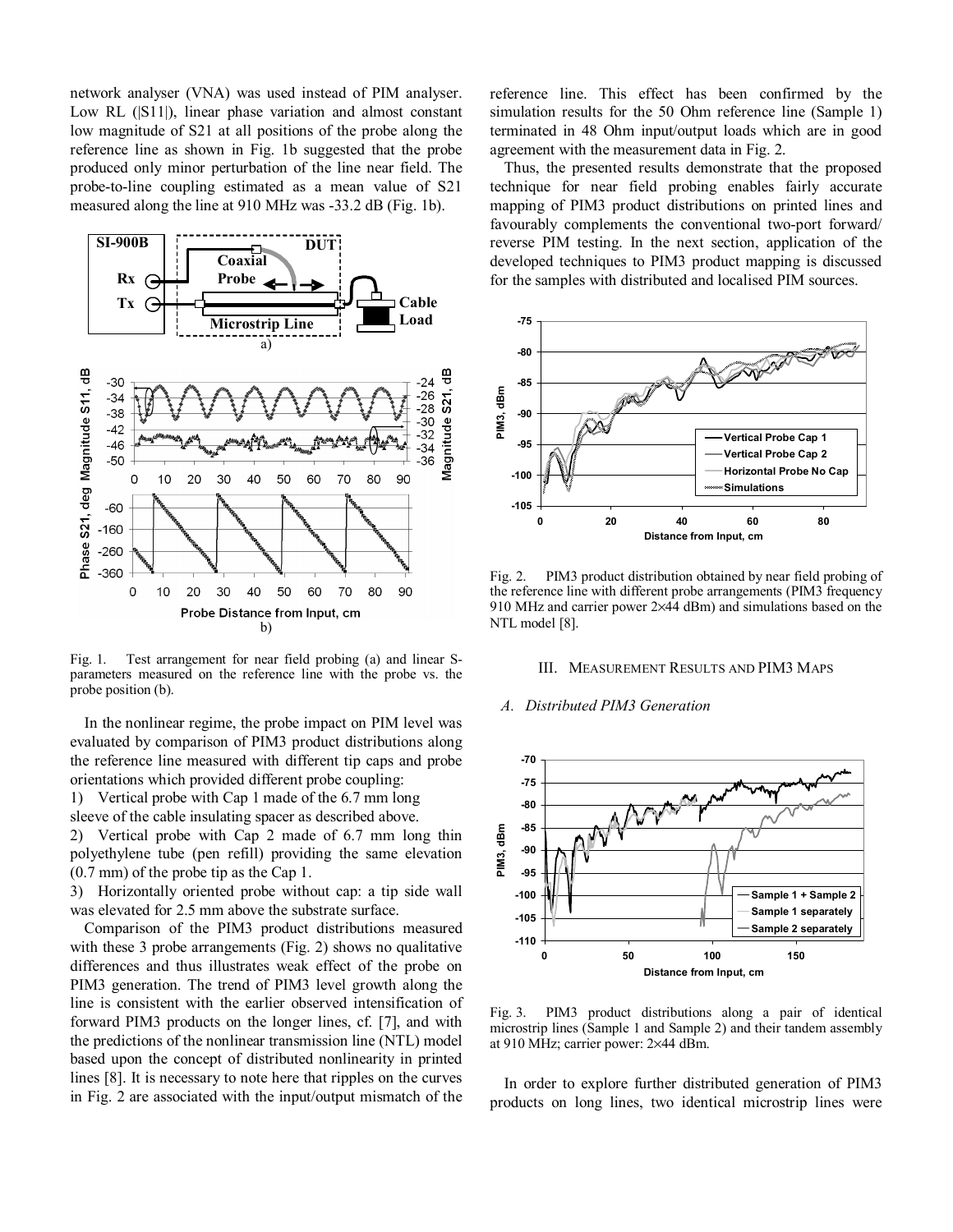network analyser (VNA) was used instead of PIM analyser. Low RL (|S11|), linear phase variation and almost constant low magnitude of S21 at all positions of the probe along the reference line as shown in Fig. 1b suggested that the probe produced only minor perturbation of the line near field. The probe-to-line coupling estimated as a mean value of S21 measured along the line at 910 MHz was -33.2 dB (Fig. 1b).



Fig. 1. Test arrangement for near field probing (a) and linear Sparameters measured on the reference line with the probe vs. the probe position (b).

In the nonlinear regime, the probe impact on PIM level was evaluated by comparison of PIM3 product distributions along the reference line measured with different tip caps and probe orientations which provided different probe coupling:

1) Vertical probe with Cap 1 made of the 6.7 mm long

sleeve of the cable insulating spacer as described above. 2) Vertical probe with Cap 2 made of 6.7 mm long thin

polyethylene tube (pen refill) providing the same elevation (0.7 mm) of the probe tip as the Cap 1.

3) Horizontally oriented probe without cap: a tip side wall was elevated for 2.5 mm above the substrate surface.

Comparison of the PIM3 product distributions measured with these 3 probe arrangements (Fig. 2) shows no qualitative differences and thus illustrates weak effect of the probe on PIM3 generation. The trend of PIM3 level growth along the line is consistent with the earlier observed intensification of forward PIM3 products on the longer lines, cf. [7], and with the predictions of the nonlinear transmission line (NTL) model based upon the concept of distributed nonlinearity in printed lines [8]. It is necessary to note here that ripples on the curves in Fig. 2 are associated with the input/output mismatch of the

reference line. This effect has been confirmed by the simulation results for the 50 Ohm reference line (Sample 1) terminated in 48 Ohm input/output loads which are in good agreement with the measurement data in Fig. 2.

Thus, the presented results demonstrate that the proposed technique for near field probing enables fairly accurate mapping of PIM3 product distributions on printed lines and favourably complements the conventional two-port forward/ reverse PIM testing. In the next section, application of the developed techniques to PIM3 product mapping is discussed for the samples with distributed and localised PIM sources.



Fig. 2. PIM3 product distribution obtained by near field probing of the reference line with different probe arrangements (PIM3 frequency 910 MHz and carrier power 2×44 dBm) and simulations based on the NTL model [8].

#### III. MEASUREMENT RESULTS AND PIM3 MAPS

#### *A. Distributed PIM3 Generation*



Fig. 3. PIM3 product distributions along a pair of identical microstrip lines (Sample 1 and Sample 2) and their tandem assembly at 910 MHz; carrier power: 2×44 dBm.

In order to explore further distributed generation of PIM3 products on long lines, two identical microstrip lines were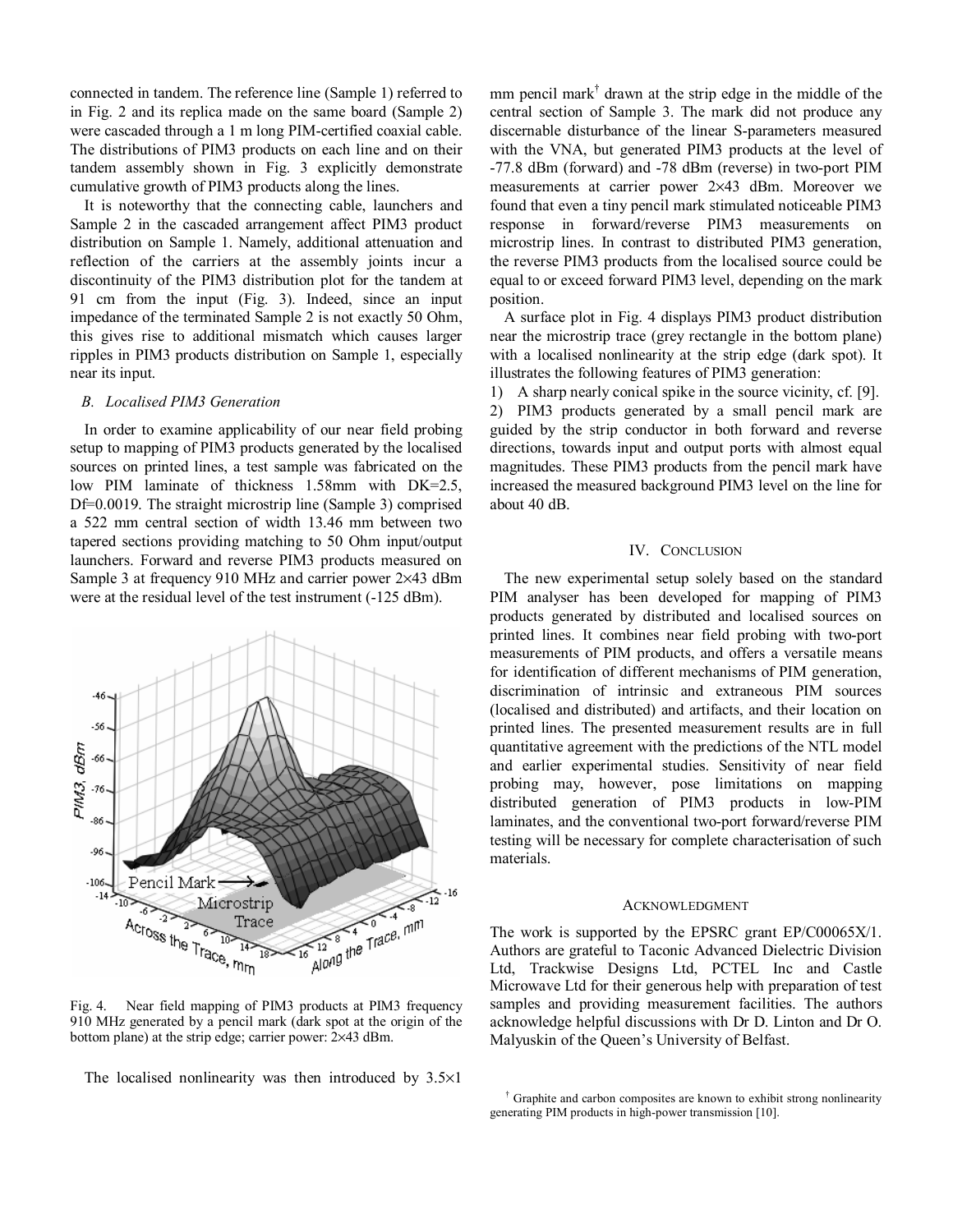connected in tandem. The reference line (Sample 1) referred to in Fig. 2 and its replica made on the same board (Sample 2) were cascaded through a 1 m long PIM-certified coaxial cable. The distributions of PIM3 products on each line and on their tandem assembly shown in Fig. 3 explicitly demonstrate cumulative growth of PIM3 products along the lines.

It is noteworthy that the connecting cable, launchers and Sample 2 in the cascaded arrangement affect PIM3 product distribution on Sample 1. Namely, additional attenuation and reflection of the carriers at the assembly joints incur a discontinuity of the PIM3 distribution plot for the tandem at 91 cm from the input (Fig. 3). Indeed, since an input impedance of the terminated Sample 2 is not exactly 50 Ohm, this gives rise to additional mismatch which causes larger ripples in PIM3 products distribution on Sample 1, especially near its input.

## *B. Localised PIM3 Generation*

In order to examine applicability of our near field probing setup to mapping of PIM3 products generated by the localised sources on printed lines, a test sample was fabricated on the low PIM laminate of thickness 1.58mm with DK=2.5, Df=0.0019. The straight microstrip line (Sample 3) comprised a 522 mm central section of width 13.46 mm between two tapered sections providing matching to 50 Ohm input/output launchers. Forward and reverse PIM3 products measured on Sample 3 at frequency 910 MHz and carrier power 2×43 dBm were at the residual level of the test instrument (-125 dBm).



Fig. 4. Near field mapping of PIM3 products at PIM3 frequency 910 MHz generated by a pencil mark (dark spot at the origin of the bottom plane) at the strip edge; carrier power: 2×43 dBm.

The localised nonlinearity was then introduced by  $3.5 \times 1$ 

mm pencil mark<sup>†</sup> drawn at the strip edge in the middle of the central section of Sample 3. The mark did not produce any discernable disturbance of the linear S-parameters measured with the VNA, but generated PIM3 products at the level of -77.8 dBm (forward) and -78 dBm (reverse) in two-port PIM measurements at carrier power 2×43 dBm. Moreover we found that even a tiny pencil mark stimulated noticeable PIM3 response in forward/reverse PIM3 measurements on microstrip lines. In contrast to distributed PIM3 generation, the reverse PIM3 products from the localised source could be equal to or exceed forward PIM3 level, depending on the mark position.

A surface plot in Fig. 4 displays PIM3 product distribution near the microstrip trace (grey rectangle in the bottom plane) with a localised nonlinearity at the strip edge (dark spot). It illustrates the following features of PIM3 generation:

1) A sharp nearly conical spike in the source vicinity, cf. [9]. 2) PIM3 products generated by a small pencil mark are guided by the strip conductor in both forward and reverse directions, towards input and output ports with almost equal magnitudes. These PIM3 products from the pencil mark have increased the measured background PIM3 level on the line for about 40 dB.

## IV. CONCLUSION

The new experimental setup solely based on the standard PIM analyser has been developed for mapping of PIM3 products generated by distributed and localised sources on printed lines. It combines near field probing with two-port measurements of PIM products, and offers a versatile means for identification of different mechanisms of PIM generation, discrimination of intrinsic and extraneous PIM sources (localised and distributed) and artifacts, and their location on printed lines. The presented measurement results are in full quantitative agreement with the predictions of the NTL model and earlier experimental studies. Sensitivity of near field probing may, however, pose limitations on mapping distributed generation of PIM3 products in low-PIM laminates, and the conventional two-port forward/reverse PIM testing will be necessary for complete characterisation of such materials.

### ACKNOWLEDGMENT

The work is supported by the EPSRC grant EP/C00065X/1. Authors are grateful to Taconic Advanced Dielectric Division Ltd, Trackwise Designs Ltd, PCTEL Inc and Castle Microwave Ltd for their generous help with preparation of test samples and providing measurement facilities. The authors acknowledge helpful discussions with Dr D. Linton and Dr O. Malyuskin of the Queen's University of Belfast.

<sup>†</sup> Graphite and carbon composites are known to exhibit strong nonlinearity generating PIM products in high-power transmission [10].